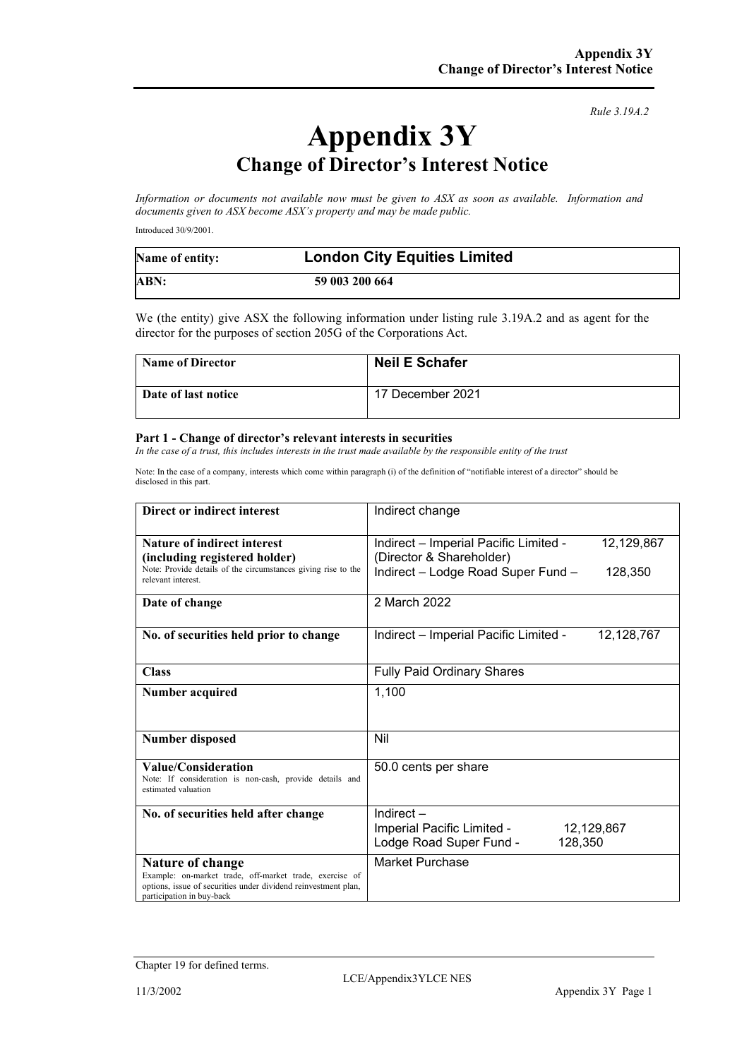*Rule 3.19A.2*

# **Appendix 3Y Change of Director's Interest Notice**

*Information or documents not available now must be given to ASX as soon as available. Information and documents given to ASX become ASX's property and may be made public.*

Introduced 30/9/2001.

| Name of entity: | <b>London City Equities Limited</b> |
|-----------------|-------------------------------------|
| ABN:            | 59 003 200 664                      |

We (the entity) give ASX the following information under listing rule 3.19A.2 and as agent for the director for the purposes of section 205G of the Corporations Act.

| <b>Name of Director</b> | <b>Neil E Schafer</b> |
|-------------------------|-----------------------|
| Date of last notice     | 17 December 2021      |

#### **Part 1 - Change of director's relevant interests in securities**

*In the case of a trust, this includes interests in the trust made available by the responsible entity of the trust*

Note: In the case of a company, interests which come within paragraph (i) of the definition of "notifiable interest of a director" should be disclosed in this part.

| Direct or indirect interest                                                                           | Indirect change                                                                 |
|-------------------------------------------------------------------------------------------------------|---------------------------------------------------------------------------------|
| <b>Nature of indirect interest</b><br>(including registered holder)                                   | 12,129,867<br>Indirect - Imperial Pacific Limited -<br>(Director & Shareholder) |
| Note: Provide details of the circumstances giving rise to the<br>relevant interest.                   | Indirect - Lodge Road Super Fund -<br>128,350                                   |
| Date of change                                                                                        | 2 March 2022                                                                    |
| No. of securities held prior to change                                                                | Indirect - Imperial Pacific Limited -<br>12,128,767                             |
| <b>Class</b>                                                                                          | <b>Fully Paid Ordinary Shares</b>                                               |
| <b>Number acquired</b>                                                                                | 1,100                                                                           |
| <b>Number disposed</b>                                                                                | Nil                                                                             |
| Value/Consideration<br>Note: If consideration is non-cash, provide details and<br>estimated valuation | 50.0 cents per share                                                            |
| No. of securities held after change                                                                   | Indirect $-$                                                                    |
|                                                                                                       | Imperial Pacific Limited -<br>12,129,867<br>Lodge Road Super Fund -<br>128,350  |
| Nature of change<br>Example: on-market trade, off-market trade, exercise of                           | Market Purchase                                                                 |
| options, issue of securities under dividend reinvestment plan,<br>participation in buy-back           |                                                                                 |

Chapter 19 for defined terms.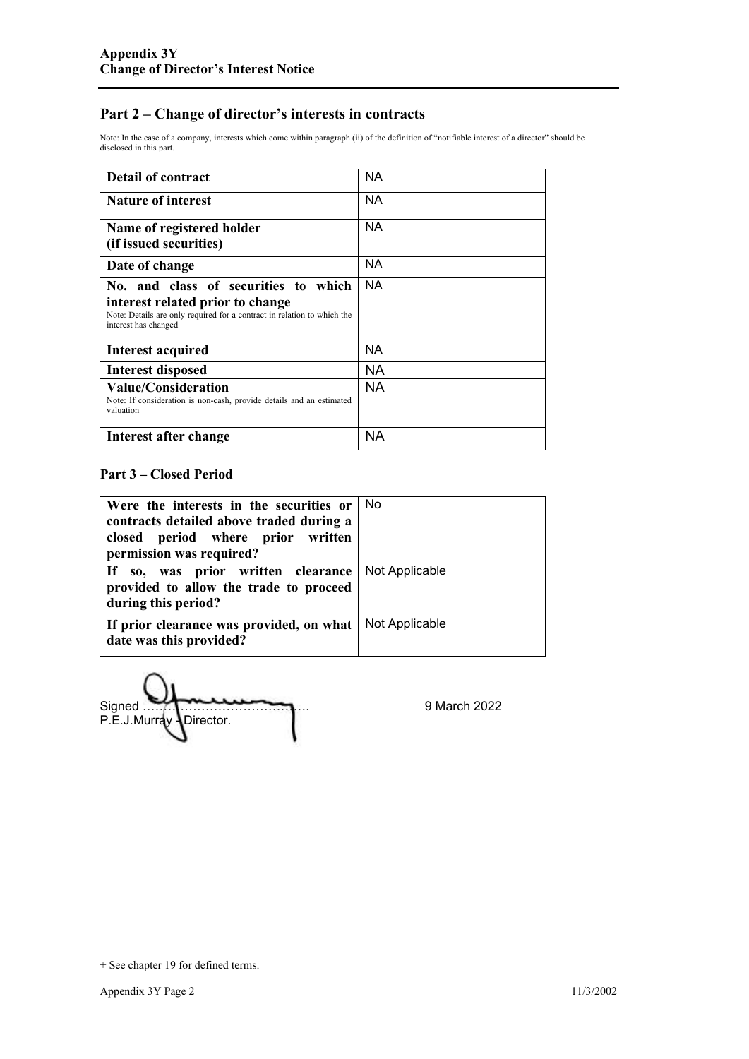### **Part 2 – Change of director's interests in contracts**

Note: In the case of a company, interests which come within paragraph (ii) of the definition of "notifiable interest of a director" should be disclosed in this part.

| <b>Detail of contract</b>                                                                                                                                                   | NА        |
|-----------------------------------------------------------------------------------------------------------------------------------------------------------------------------|-----------|
| <b>Nature of interest</b>                                                                                                                                                   | <b>NA</b> |
| Name of registered holder<br>(if issued securities)                                                                                                                         | <b>NA</b> |
| Date of change                                                                                                                                                              | NA        |
| No, and class of securities to which<br>interest related prior to change<br>Note: Details are only required for a contract in relation to which the<br>interest has changed | <b>NA</b> |
| Interest acquired                                                                                                                                                           | NА        |
| <b>Interest disposed</b>                                                                                                                                                    | NA.       |
| <b>Value/Consideration</b><br>Note: If consideration is non-cash, provide details and an estimated<br>valuation                                                             | <b>NA</b> |
| Interest after change                                                                                                                                                       | NA        |

### **Part 3 – Closed Period**

| Were the interests in the securities or $\vert$ No<br>contracts detailed above traded during a<br>closed period where prior written<br>permission was required? |                |
|-----------------------------------------------------------------------------------------------------------------------------------------------------------------|----------------|
| If so, was prior written clearance<br>provided to allow the trade to proceed<br>during this period?                                                             | Not Applicable |
| If prior clearance was provided, on what<br>date was this provided?                                                                                             | Not Applicable |

Signed …………………………………. 9 March 2022 P.E.J.Murray Director.

<sup>+</sup> See chapter 19 for defined terms.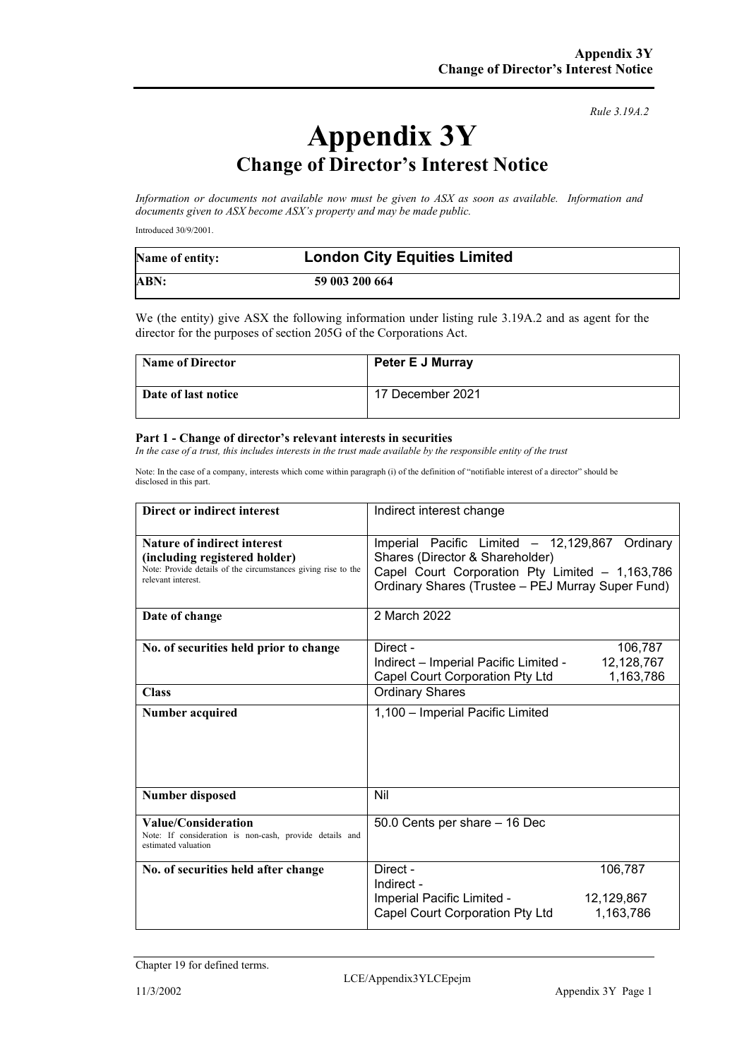*Rule 3.19A.2*

# **Appendix 3Y Change of Director's Interest Notice**

*Information or documents not available now must be given to ASX as soon as available. Information and documents given to ASX become ASX's property and may be made public.*

Introduced 30/9/2001.

| Name of entity: | <b>London City Equities Limited</b> |
|-----------------|-------------------------------------|
| ABN:            | 59 003 200 664                      |

We (the entity) give ASX the following information under listing rule 3.19A.2 and as agent for the director for the purposes of section 205G of the Corporations Act.

| <b>Name of Director</b> | <b>Peter E J Murray</b> |
|-------------------------|-------------------------|
| Date of last notice     | 17 December 2021        |

#### **Part 1 - Change of director's relevant interests in securities**

*In the case of a trust, this includes interests in the trust made available by the responsible entity of the trust*

Note: In the case of a company, interests which come within paragraph (i) of the definition of "notifiable interest of a director" should be disclosed in this part.

| <b>Direct or indirect interest</b>                                                                                                                         | Indirect interest change                                                                                                                                                                     |  |
|------------------------------------------------------------------------------------------------------------------------------------------------------------|----------------------------------------------------------------------------------------------------------------------------------------------------------------------------------------------|--|
| <b>Nature of indirect interest</b><br>(including registered holder)<br>Note: Provide details of the circumstances giving rise to the<br>relevant interest. | Imperial Pacific Limited - 12,129,867<br>Ordinary<br>Shares (Director & Shareholder)<br>Capel Court Corporation Pty Limited - 1,163,786<br>Ordinary Shares (Trustee - PEJ Murray Super Fund) |  |
| Date of change                                                                                                                                             | 2 March 2022                                                                                                                                                                                 |  |
| No. of securities held prior to change                                                                                                                     | Direct -<br>106,787<br>Indirect - Imperial Pacific Limited -<br>12,128,767<br>Capel Court Corporation Pty Ltd<br>1,163,786                                                                   |  |
| <b>Class</b>                                                                                                                                               | <b>Ordinary Shares</b>                                                                                                                                                                       |  |
| Number acquired                                                                                                                                            | 1,100 - Imperial Pacific Limited                                                                                                                                                             |  |
| <b>Number disposed</b>                                                                                                                                     | Nil                                                                                                                                                                                          |  |
| Value/Consideration<br>Note: If consideration is non-cash, provide details and<br>estimated valuation                                                      | 50.0 Cents per share - 16 Dec                                                                                                                                                                |  |
| No. of securities held after change                                                                                                                        | Direct -<br>106,787<br>Indirect -<br>Imperial Pacific Limited -<br>12,129,867<br>Capel Court Corporation Pty Ltd<br>1,163,786                                                                |  |

Chapter 19 for defined terms.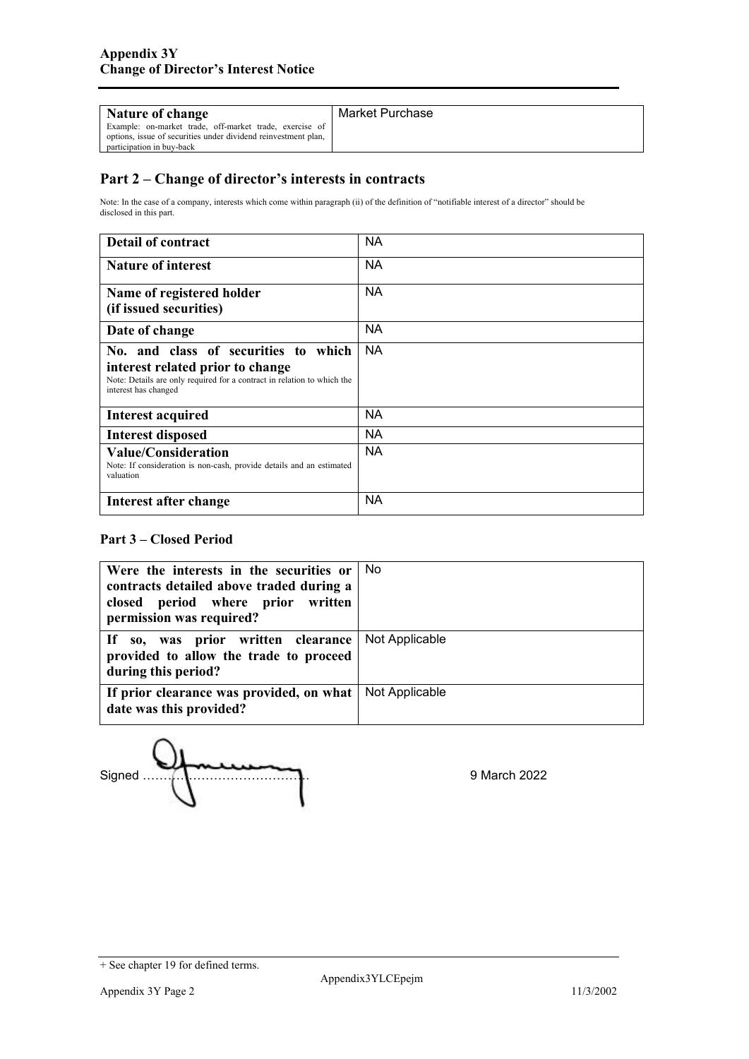| Nature of change                                                                                                                                       | Market Purchase |
|--------------------------------------------------------------------------------------------------------------------------------------------------------|-----------------|
| Example: on-market trade, off-market trade, exercise of<br>options, issue of securities under dividend reinvestment plan,<br>participation in buy-back |                 |

## **Part 2 – Change of director's interests in contracts**

Note: In the case of a company, interests which come within paragraph (ii) of the definition of "notifiable interest of a director" should be disclosed in this part.

| <b>Detail of contract</b>                                                                                                                                                   | <b>NA</b> |
|-----------------------------------------------------------------------------------------------------------------------------------------------------------------------------|-----------|
| <b>Nature of interest</b>                                                                                                                                                   | NA.       |
| Name of registered holder<br>(if issued securities)                                                                                                                         | <b>NA</b> |
| Date of change                                                                                                                                                              | <b>NA</b> |
| No. and class of securities to which<br>interest related prior to change<br>Note: Details are only required for a contract in relation to which the<br>interest has changed | NA        |
| <b>Interest acquired</b>                                                                                                                                                    | <b>NA</b> |
| <b>Interest disposed</b>                                                                                                                                                    | NA.       |
| <b>Value/Consideration</b><br>Note: If consideration is non-cash, provide details and an estimated<br>valuation                                                             | <b>NA</b> |
| Interest after change                                                                                                                                                       | <b>NA</b> |

### **Part 3 – Closed Period**

| Were the interests in the securities or<br>contracts detailed above traded during a<br>closed period where prior written<br>permission was required? | No.            |
|------------------------------------------------------------------------------------------------------------------------------------------------------|----------------|
| If so, was prior written clearance<br>provided to allow the trade to proceed<br>during this period?                                                  | Not Applicable |
| If prior clearance was provided, on what<br>date was this provided?                                                                                  | Not Applicable |

Signed …………………………………. 9 March 2022

<sup>+</sup> See chapter 19 for defined terms.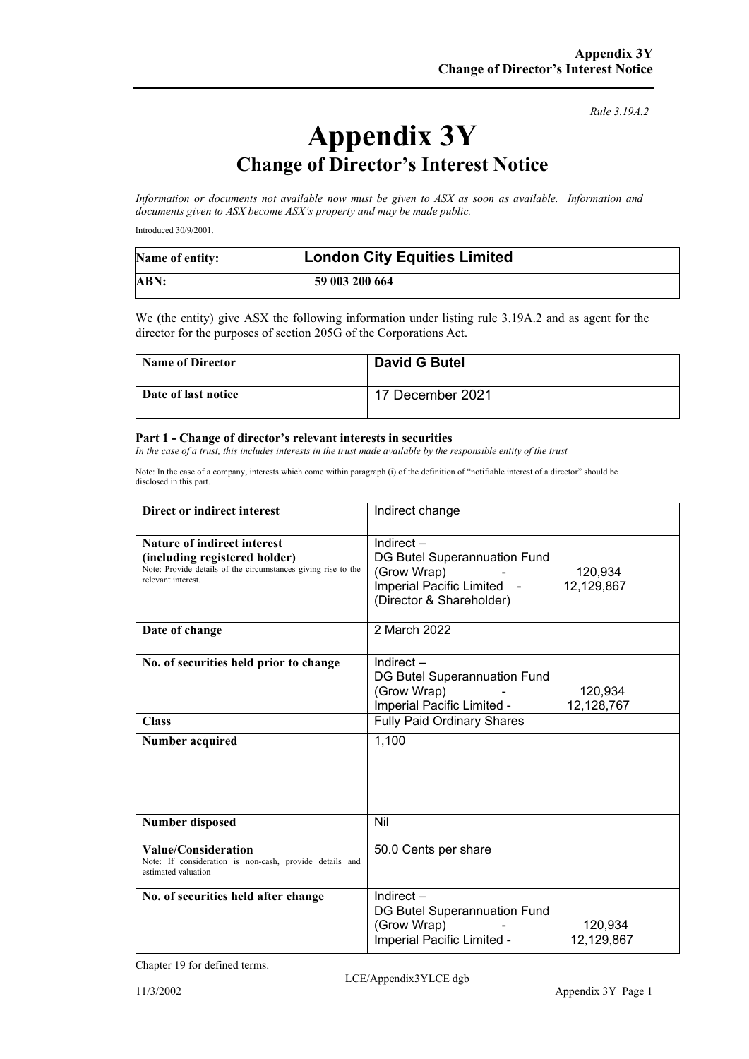*Rule 3.19A.2*

# **Appendix 3Y Change of Director's Interest Notice**

*Information or documents not available now must be given to ASX as soon as available. Information and documents given to ASX become ASX's property and may be made public.*

Introduced 30/9/2001.

| Name of entity: | <b>London City Equities Limited</b> |
|-----------------|-------------------------------------|
| ABN:            | 59 003 200 664                      |

We (the entity) give ASX the following information under listing rule 3.19A.2 and as agent for the director for the purposes of section 205G of the Corporations Act.

| <b>Name of Director</b> | <b>David G Butel</b> |
|-------------------------|----------------------|
| Date of last notice     | 17 December 2021     |

#### **Part 1 - Change of director's relevant interests in securities**

*In the case of a trust, this includes interests in the trust made available by the responsible entity of the trust* 

Note: In the case of a company, interests which come within paragraph (i) of the definition of "notifiable interest of a director" should be disclosed in this part.

| Direct or indirect interest                                                                                                                                | Indirect change                                                                                                                                         |
|------------------------------------------------------------------------------------------------------------------------------------------------------------|---------------------------------------------------------------------------------------------------------------------------------------------------------|
| <b>Nature of indirect interest</b><br>(including registered holder)<br>Note: Provide details of the circumstances giving rise to the<br>relevant interest. | Indirect $-$<br>DG Butel Superannuation Fund<br>(Grow Wrap)<br>120,934<br>Imperial Pacific Limited -<br>12,129,867<br>(Director & Shareholder)          |
| Date of change                                                                                                                                             | 2 March 2022                                                                                                                                            |
| No. of securities held prior to change<br><b>Class</b>                                                                                                     | Indirect $-$<br>DG Butel Superannuation Fund<br>(Grow Wrap)<br>120,934<br>Imperial Pacific Limited -<br>12,128,767<br><b>Fully Paid Ordinary Shares</b> |
| Number acquired                                                                                                                                            | 1,100                                                                                                                                                   |
| <b>Number disposed</b>                                                                                                                                     | Nil                                                                                                                                                     |
| Value/Consideration<br>Note: If consideration is non-cash, provide details and<br>estimated valuation                                                      | 50.0 Cents per share                                                                                                                                    |
| No. of securities held after change                                                                                                                        | Indirect $-$<br>DG Butel Superannuation Fund<br>(Grow Wrap)<br>120.934<br>Imperial Pacific Limited -<br>12,129,867                                      |

Chapter 19 for defined terms.